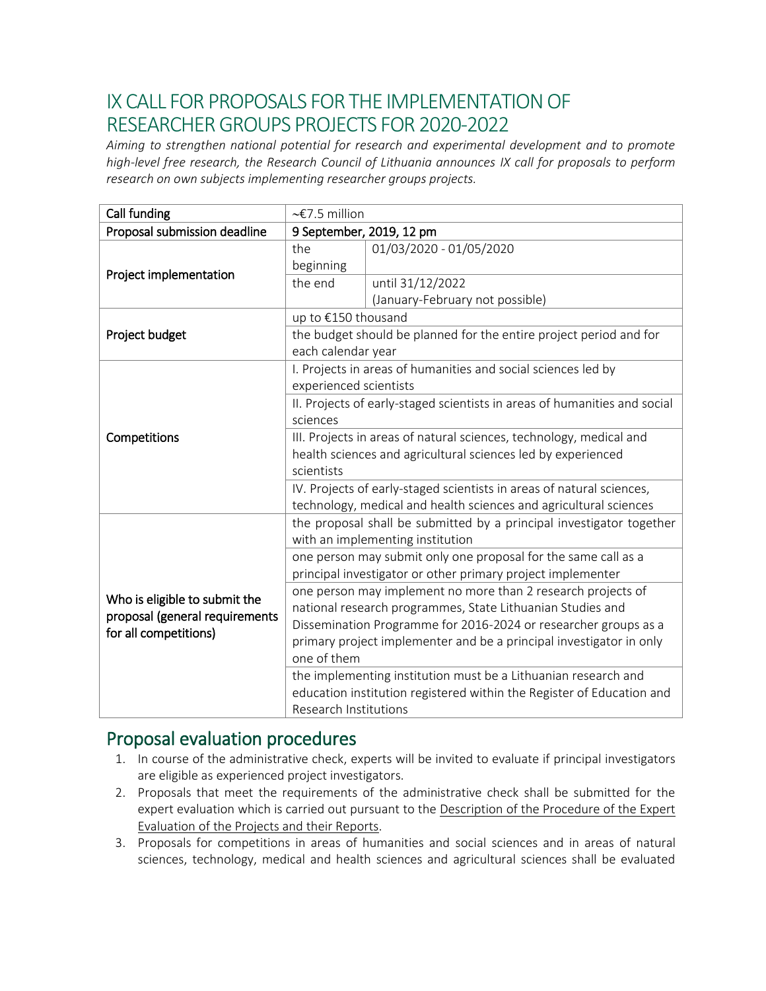## IX CALL FOR PROPOSALS FOR THE IMPLEMENTATION OF RESEARCHER GROUPS PROJECTS FOR 2020-2022

*Aiming to strengthen national potential for research and experimental development and to promote high-level free research, the Research Council of Lithuania announces IX call for proposals to perform research on own subjects implementing researcher groups projects.* 

| Call funding                                                                             | $\sim$ £7.5 million                                                       |                                 |
|------------------------------------------------------------------------------------------|---------------------------------------------------------------------------|---------------------------------|
| Proposal submission deadline                                                             | 9 September, 2019, 12 pm                                                  |                                 |
| Project implementation                                                                   | the                                                                       | 01/03/2020 - 01/05/2020         |
|                                                                                          | beginning                                                                 |                                 |
|                                                                                          | the end                                                                   | until 31/12/2022                |
|                                                                                          |                                                                           | (January-February not possible) |
| Project budget                                                                           | up to €150 thousand                                                       |                                 |
|                                                                                          | the budget should be planned for the entire project period and for        |                                 |
|                                                                                          | each calendar year                                                        |                                 |
| Competitions                                                                             | I. Projects in areas of humanities and social sciences led by             |                                 |
|                                                                                          | experienced scientists                                                    |                                 |
|                                                                                          | II. Projects of early-staged scientists in areas of humanities and social |                                 |
|                                                                                          | sciences                                                                  |                                 |
|                                                                                          | III. Projects in areas of natural sciences, technology, medical and       |                                 |
|                                                                                          | health sciences and agricultural sciences led by experienced              |                                 |
|                                                                                          | scientists                                                                |                                 |
|                                                                                          | IV. Projects of early-staged scientists in areas of natural sciences,     |                                 |
|                                                                                          | technology, medical and health sciences and agricultural sciences         |                                 |
| Who is eligible to submit the<br>proposal (general requirements<br>for all competitions) | the proposal shall be submitted by a principal investigator together      |                                 |
|                                                                                          | with an implementing institution                                          |                                 |
|                                                                                          | one person may submit only one proposal for the same call as a            |                                 |
|                                                                                          | principal investigator or other primary project implementer               |                                 |
|                                                                                          | one person may implement no more than 2 research projects of              |                                 |
|                                                                                          | national research programmes, State Lithuanian Studies and                |                                 |
|                                                                                          | Dissemination Programme for 2016-2024 or researcher groups as a           |                                 |
|                                                                                          | primary project implementer and be a principal investigator in only       |                                 |
|                                                                                          | one of them                                                               |                                 |
|                                                                                          | the implementing institution must be a Lithuanian research and            |                                 |
|                                                                                          | education institution registered within the Register of Education and     |                                 |
|                                                                                          | <b>Research Institutions</b>                                              |                                 |

## Proposal evaluation procedures

- 1. In course of the administrative check, experts will be invited to evaluate if principal investigators are eligible as experienced project investigators.
- 2. Proposals that meet the requirements of the administrative check shall be submitted for the [expert evaluation which is carried out pursuant to the Description of the Procedure of the Expert](https://www.lmt.lt/en/doclib/u91vfekfwifzfrug5cqck26geekutk46)  Evaluation of the Projects and their Reports.
- 3. Proposals for competitions in areas of humanities and social sciences and in areas of natural sciences, technology, medical and health sciences and agricultural sciences shall be evaluated